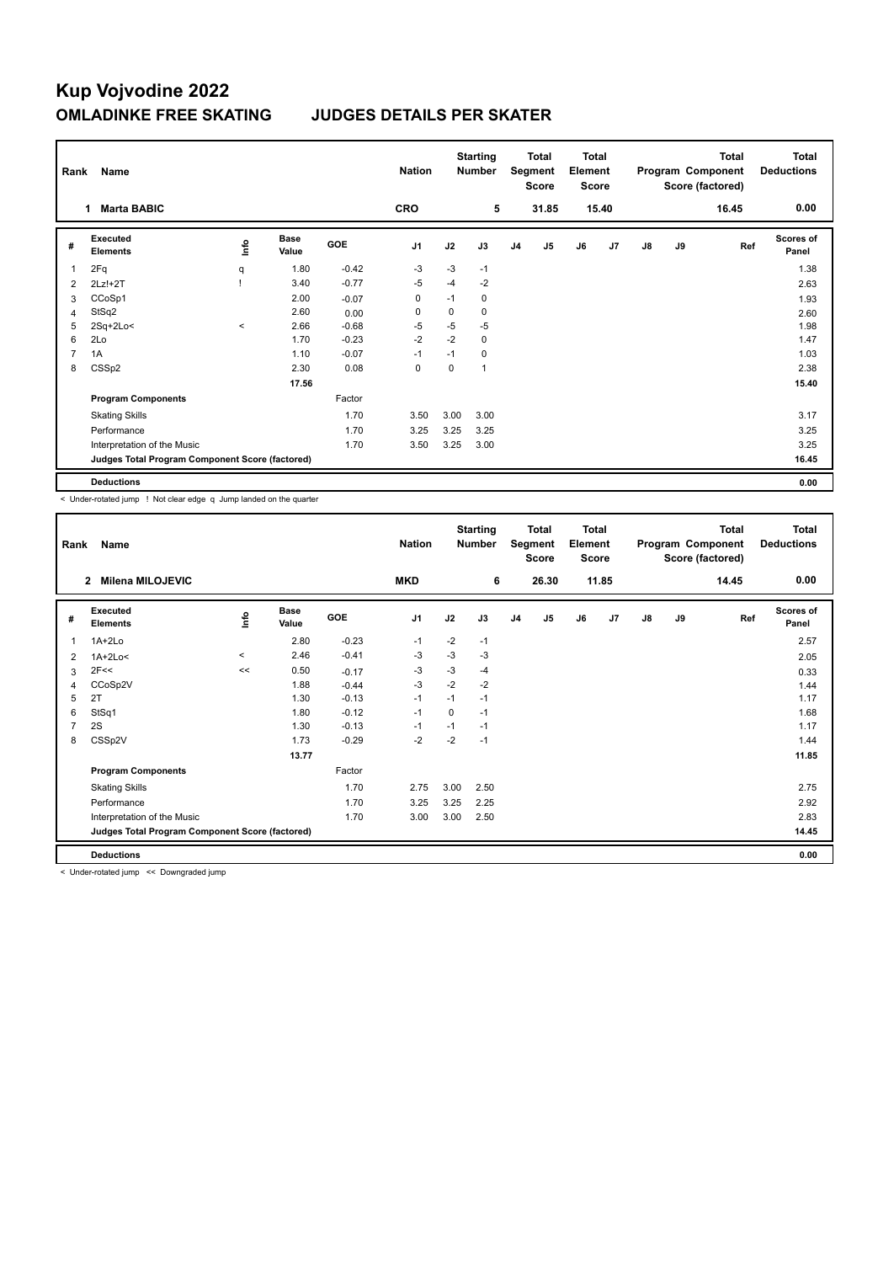## **Kup Vojvodine 2022 OMLADINKE FREE SKATING JUDGES DETAILS PER SKATER**

| Name<br>Rank   |                                                 |          |                      | <b>Nation</b> | <b>Starting</b><br><b>Number</b> |          | <b>Total</b><br>Segment<br><b>Score</b> |                | <b>Total</b><br>Element<br><b>Score</b> |    | Total<br>Program Component<br>Score (factored) |               |    | <b>Total</b><br><b>Deductions</b> |                           |
|----------------|-------------------------------------------------|----------|----------------------|---------------|----------------------------------|----------|-----------------------------------------|----------------|-----------------------------------------|----|------------------------------------------------|---------------|----|-----------------------------------|---------------------------|
|                | <b>Marta BABIC</b><br>1                         |          |                      |               | <b>CRO</b>                       |          | 5                                       |                | 31.85                                   |    | 15.40                                          |               |    | 16.45                             | 0.00                      |
| #              | Executed<br><b>Elements</b>                     | Life     | <b>Base</b><br>Value | <b>GOE</b>    | J <sub>1</sub>                   | J2       | J3                                      | J <sub>4</sub> | J5                                      | J6 | J7                                             | $\mathsf{J}8$ | J9 | Ref                               | <b>Scores of</b><br>Panel |
|                | 2Fq                                             | q        | 1.80                 | $-0.42$       | -3                               | $-3$     | $-1$                                    |                |                                         |    |                                                |               |    |                                   | 1.38                      |
| 2              | 2Lz!+2T                                         |          | 3.40                 | $-0.77$       | -5                               | $-4$     | $-2$                                    |                |                                         |    |                                                |               |    |                                   | 2.63                      |
| 3              | CCoSp1                                          |          | 2.00                 | $-0.07$       | 0                                | $-1$     | 0                                       |                |                                         |    |                                                |               |    |                                   | 1.93                      |
| $\overline{4}$ | StSq2                                           |          | 2.60                 | 0.00          | 0                                | $\Omega$ | 0                                       |                |                                         |    |                                                |               |    |                                   | 2.60                      |
| 5              | $2Sq+2Lo<$                                      | $\hat{}$ | 2.66                 | $-0.68$       | $-5$                             | $-5$     | $-5$                                    |                |                                         |    |                                                |               |    |                                   | 1.98                      |
| 6              | 2Lo                                             |          | 1.70                 | $-0.23$       | $-2$                             | $-2$     | 0                                       |                |                                         |    |                                                |               |    |                                   | 1.47                      |
| $\overline{7}$ | 1A                                              |          | 1.10                 | $-0.07$       | $-1$                             | $-1$     | 0                                       |                |                                         |    |                                                |               |    |                                   | 1.03                      |
| 8              | CSSp2                                           |          | 2.30                 | 0.08          | 0                                | $\Omega$ | 1                                       |                |                                         |    |                                                |               |    |                                   | 2.38                      |
|                |                                                 |          | 17.56                |               |                                  |          |                                         |                |                                         |    |                                                |               |    |                                   | 15.40                     |
|                | <b>Program Components</b>                       |          |                      | Factor        |                                  |          |                                         |                |                                         |    |                                                |               |    |                                   |                           |
|                | <b>Skating Skills</b>                           |          |                      | 1.70          | 3.50                             | 3.00     | 3.00                                    |                |                                         |    |                                                |               |    |                                   | 3.17                      |
|                | Performance                                     |          |                      | 1.70          | 3.25                             | 3.25     | 3.25                                    |                |                                         |    |                                                |               |    |                                   | 3.25                      |
|                | Interpretation of the Music                     |          |                      | 1.70          | 3.50                             | 3.25     | 3.00                                    |                |                                         |    |                                                |               |    |                                   | 3.25                      |
|                | Judges Total Program Component Score (factored) |          |                      |               |                                  |          |                                         |                |                                         |    |                                                |               |    |                                   | 16.45                     |
|                | <b>Deductions</b>                               |          |                      |               |                                  |          |                                         |                |                                         |    |                                                |               |    |                                   | 0.00                      |

< Under-rotated jump ! Not clear edge q Jump landed on the quarter

| Rank | Name                                            |          |                      |         | <b>Nation</b>  |          | <b>Starting</b><br><b>Number</b> | <b>Total</b><br>Segment<br><b>Score</b> |       | Total<br>Element<br><b>Score</b> |       | <b>Total</b><br>Program Component<br>Score (factored) |    |       | <b>Total</b><br><b>Deductions</b> |
|------|-------------------------------------------------|----------|----------------------|---------|----------------|----------|----------------------------------|-----------------------------------------|-------|----------------------------------|-------|-------------------------------------------------------|----|-------|-----------------------------------|
|      | Milena MILOJEVIC<br>$\overline{2}$              |          |                      |         | <b>MKD</b>     |          | 6                                |                                         | 26.30 |                                  | 11.85 |                                                       |    | 14.45 | 0.00                              |
| #    | Executed<br><b>Elements</b>                     | ۴        | <b>Base</b><br>Value | GOE     | J <sub>1</sub> | J2       | J3                               | J <sub>4</sub>                          | J5    | J6                               | J7    | $\mathsf{J}8$                                         | J9 | Ref   | <b>Scores of</b><br>Panel         |
| 1    | $1A+2Lo$                                        |          | 2.80                 | $-0.23$ | $-1$           | $-2$     | $-1$                             |                                         |       |                                  |       |                                                       |    |       | 2.57                              |
| 2    | $1A+2Lo<$                                       | $\hat{}$ | 2.46                 | $-0.41$ | -3             | $-3$     | -3                               |                                         |       |                                  |       |                                                       |    |       | 2.05                              |
| 3    | 2F<<                                            | <<       | 0.50                 | $-0.17$ | $-3$           | $-3$     | $-4$                             |                                         |       |                                  |       |                                                       |    |       | 0.33                              |
| 4    | CCoSp2V                                         |          | 1.88                 | $-0.44$ | $-3$           | $-2$     | $-2$                             |                                         |       |                                  |       |                                                       |    |       | 1.44                              |
| 5    | 2T                                              |          | 1.30                 | $-0.13$ | $-1$           | $-1$     | $-1$                             |                                         |       |                                  |       |                                                       |    |       | 1.17                              |
| 6    | StSq1                                           |          | 1.80                 | $-0.12$ | $-1$           | $\Omega$ | $-1$                             |                                         |       |                                  |       |                                                       |    |       | 1.68                              |
| 7    | 2S                                              |          | 1.30                 | $-0.13$ | -1             | $-1$     | $-1$                             |                                         |       |                                  |       |                                                       |    |       | 1.17                              |
| 8    | CSSp2V                                          |          | 1.73                 | $-0.29$ | $-2$           | $-2$     | $-1$                             |                                         |       |                                  |       |                                                       |    |       | 1.44                              |
|      |                                                 |          | 13.77                |         |                |          |                                  |                                         |       |                                  |       |                                                       |    |       | 11.85                             |
|      | <b>Program Components</b>                       |          |                      | Factor  |                |          |                                  |                                         |       |                                  |       |                                                       |    |       |                                   |
|      | <b>Skating Skills</b>                           |          |                      | 1.70    | 2.75           | 3.00     | 2.50                             |                                         |       |                                  |       |                                                       |    |       | 2.75                              |
|      | Performance                                     |          |                      | 1.70    | 3.25           | 3.25     | 2.25                             |                                         |       |                                  |       |                                                       |    |       | 2.92                              |
|      | Interpretation of the Music                     |          |                      | 1.70    | 3.00           | 3.00     | 2.50                             |                                         |       |                                  |       |                                                       |    |       | 2.83                              |
|      | Judges Total Program Component Score (factored) |          |                      |         |                |          |                                  |                                         |       |                                  |       |                                                       |    |       | 14.45                             |
|      | <b>Deductions</b>                               |          |                      |         |                |          |                                  |                                         |       |                                  |       |                                                       |    |       | 0.00                              |

< Under-rotated jump << Downgraded jump